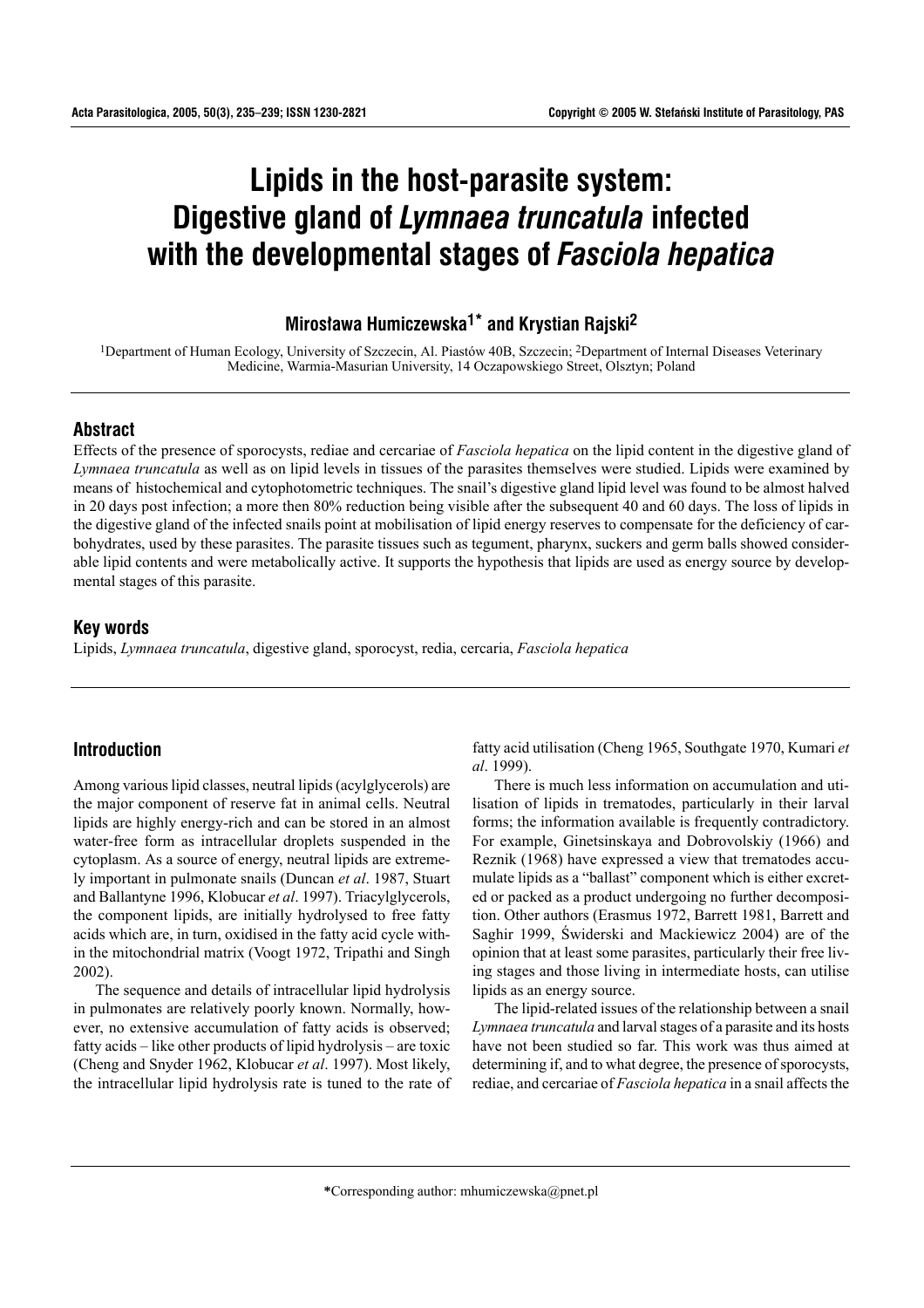# **Lipids in the host-parasite system: Digestive gland of** *Lymnaea truncatula* **infected with the developmental stages of** *Fasciola hepatica*

# **Miros³awa Humiczewska1\* and Krystian Rajski2**

<sup>1</sup>Department of Human Ecology, University of Szczecin, Al. Piastów 40B, Szczecin; <sup>2</sup>Department of Internal Diseases Veterinary Medicine, Warmia-Masurian University, 14 Oczapowskiego Street, Olsztyn; Poland

# **Abstract**

Effects of the presence of sporocysts, rediae and cercariae of *Fasciola hepatica* on the lipid content in the digestive gland of *Lymnaea truncatula* as well as on lipid levels in tissues of the parasites themselves were studied. Lipids were examined by means of histochemical and cytophotometric techniques. The snail's digestive gland lipid level was found to be almost halved in 20 days post infection; a more then 80% reduction being visible after the subsequent 40 and 60 days. The loss of lipids in the digestive gland of the infected snails point at mobilisation of lipid energy reserves to compensate for the deficiency of carbohydrates, used by these parasites. The parasite tissues such as tegument, pharynx, suckers and germ balls showed considerable lipid contents and were metabolically active. It supports the hypothesis that lipids are used as energy source by developmental stages of this parasite.

#### **Key words**

Lipids, *Lymnaea truncatula*, digestive gland, sporocyst, redia, cercaria, *Fasciola hepatica*

# **Introduction**

Among various lipid classes, neutral lipids (acylglycerols) are the major component of reserve fat in animal cells. Neutral lipids are highly energy-rich and can be stored in an almost water-free form as intracellular droplets suspended in the cytoplasm. As a source of energy, neutral lipids are extremely important in pulmonate snails (Duncan *et al*. 1987, Stuart and Ballantyne 1996, Klobucar *et al*. 1997). Triacylglycerols, the component lipids, are initially hydrolysed to free fatty acids which are, in turn, oxidised in the fatty acid cycle within the mitochondrial matrix (Voogt 1972, Tripathi and Singh 2002).

The sequence and details of intracellular lipid hydrolysis in pulmonates are relatively poorly known. Normally, however, no extensive accumulation of fatty acids is observed; fatty acids  $\overline{\phantom{a}}$  like other products of lipid hydrolysis  $\overline{\phantom{a}}$  are toxic (Cheng and Snyder 1962, Klobucar *et al*. 1997). Most likely, the intracellular lipid hydrolysis rate is tuned to the rate of fatty acid utilisation (Cheng 1965, Southgate 1970, Kumari *et al*. 1999).

There is much less information on accumulation and utilisation of lipids in trematodes, particularly in their larval forms; the information available is frequently contradictory. For example, Ginetsinskaya and Dobrovolskiy (1966) and Reznik (1968) have expressed a view that trematodes accumulate lipids as a "ballast" component which is either excreted or packed as a product undergoing no further decomposition. Other authors (Erasmus 1972, Barrett 1981, Barrett and Saghir 1999, Świderski and Mackiewicz 2004) are of the opinion that at least some parasites, particularly their free living stages and those living in intermediate hosts, can utilise lipids as an energy source.

The lipid-related issues of the relationship between a snail *Lymnaea truncatula* and larval stages of a parasite and its hosts have not been studied so far. This work was thus aimed at determining if, and to what degree, the presence of sporocysts, rediae, and cercariae of *Fasciola hepatica* in a snail affects the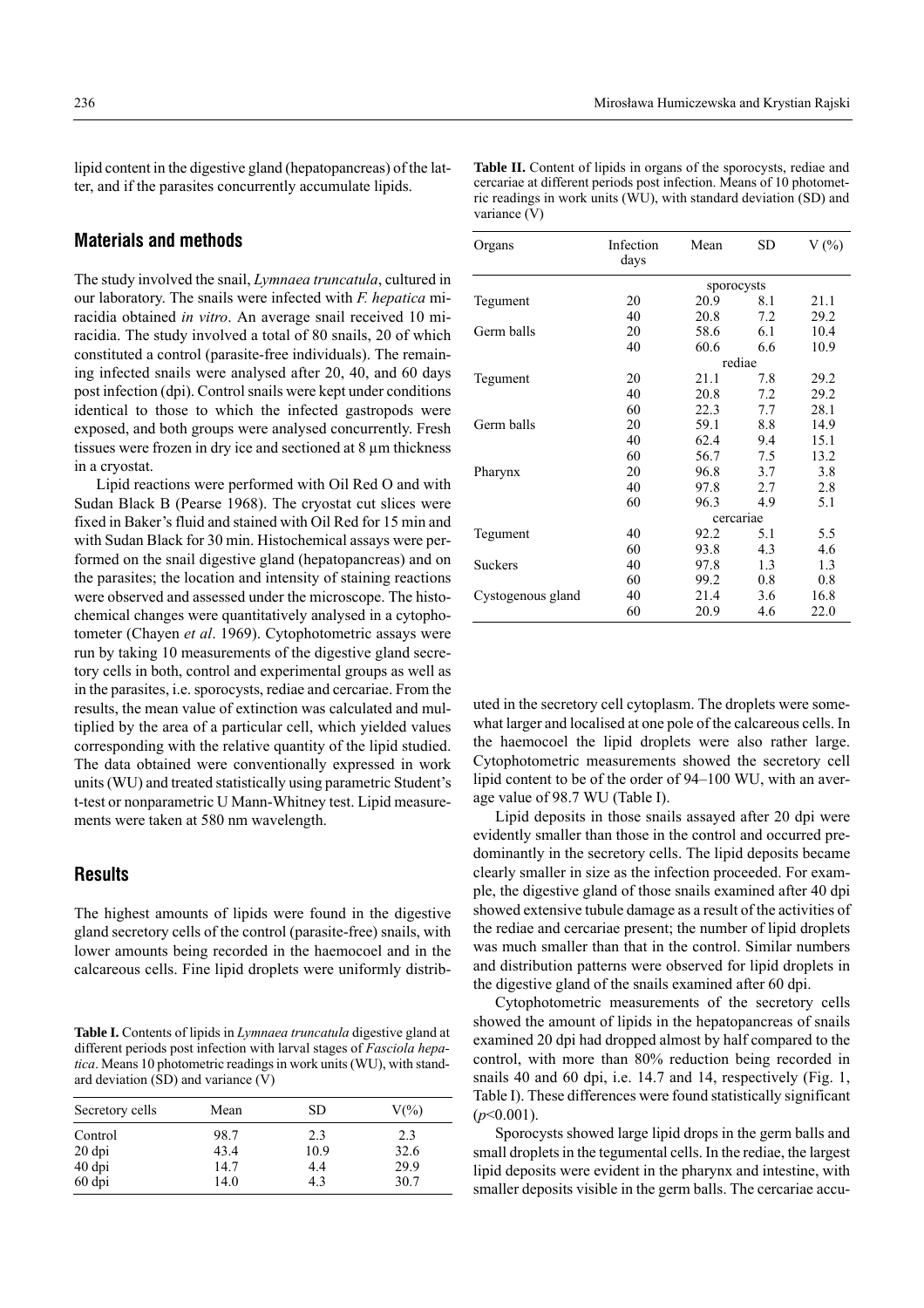lipid content in the digestive gland (hepatopancreas) of the latter, and if the parasites concurrently accumulate lipids.

# **Materials and methods**

The study involved the snail, *Lymnaea truncatula*, cultured in our laboratory. The snails were infected with *F. hepatica* miracidia obtained *in vitro*. An average snail received 10 miracidia. The study involved a total of 80 snails, 20 of which constituted a control (parasite-free individuals). The remaining infected snails were analysed after 20, 40, and 60 days post infection (dpi). Control snails were kept under conditions identical to those to which the infected gastropods were exposed, and both groups were analysed concurrently. Fresh tissues were frozen in dry ice and sectioned at 8 µm thickness in a cryostat.

Lipid reactions were performed with Oil Red O and with Sudan Black B (Pearse 1968). The cryostat cut slices were fixed in Baker's fluid and stained with Oil Red for 15 min and with Sudan Black for 30 min. Histochemical assays were performed on the snail digestive gland (hepatopancreas) and on the parasites; the location and intensity of staining reactions were observed and assessed under the microscope. The histochemical changes were quantitatively analysed in a cytophotometer (Chayen *et al*. 1969). Cytophotometric assays were run by taking 10 measurements of the digestive gland secretory cells in both, control and experimental groups as well as in the parasites, i.e. sporocysts, rediae and cercariae. From the results, the mean value of extinction was calculated and multiplied by the area of a particular cell, which yielded values corresponding with the relative quantity of the lipid studied. The data obtained were conventionally expressed in work units (WU) and treated statistically using parametric Student's t-test or nonparametric U Mann-Whitney test. Lipid measurements were taken at 580 nm wavelength.

# **Results**

The highest amounts of lipids were found in the digestive gland secretory cells of the control (parasite-free) snails, with lower amounts being recorded in the haemocoel and in the calcareous cells. Fine lipid droplets were uniformly distrib-

**Table I.** Contents of lipids in *Lymnaea truncatula* digestive gland at different periods post infection with larval stages of *Fasciola hepatica*. Means 10 photometric readings in work units (WU), with standard deviation (SD) and variance (V)

| Secretory cells | Mean | SD   | $V(\%)$ |  |
|-----------------|------|------|---------|--|
| Control         | 98.7 | 2.3  | 2.3     |  |
| $20$ dpi        | 43.4 | 10.9 | 32.6    |  |
| 40 dpi          | 14.7 | 4.4  | 29.9    |  |
| 60 dpi          | 14.0 | 4.3  | 30.7    |  |

| <b>Table II.</b> Content of lipids in organs of the sporocysts, rediae and |
|----------------------------------------------------------------------------|
| cercariae at different periods post infection. Means of 10 photomet-       |
| ric readings in work units (WU), with standard deviation (SD) and          |
| variance (V)                                                               |

| Organs            | Infection<br>days | Mean       | SD  | $V(\%)$ |  |  |
|-------------------|-------------------|------------|-----|---------|--|--|
|                   |                   | sporocysts |     |         |  |  |
| Tegument          | 20                | 20.9       | 8.1 | 21.1    |  |  |
|                   | 40                | 20.8       | 7.2 | 29.2    |  |  |
| Germ balls        | 20                | 58.6       | 6.1 | 10.4    |  |  |
|                   | 40                | 60.6       | 6.6 | 10.9    |  |  |
|                   | rediae            |            |     |         |  |  |
| Tegument          | 20                | 21.1       | 7.8 | 29.2    |  |  |
|                   | 40                | 20.8       | 7.2 | 29.2    |  |  |
|                   | 60                | 22.3       | 7.7 | 28.1    |  |  |
| Germ balls        | 20                | 59.1       | 8.8 | 14.9    |  |  |
|                   | 40                | 62.4       | 9.4 | 15.1    |  |  |
|                   | 60                | 56.7       | 7.5 | 13.2    |  |  |
| Pharynx           | 20                | 96.8       | 3.7 | 3.8     |  |  |
|                   | 40                | 97.8       | 2.7 | 2.8     |  |  |
|                   | 60                | 96.3       | 4.9 | 5.1     |  |  |
|                   | cercariae         |            |     |         |  |  |
| Tegument          | 40                | 92.2       | 5.1 | 5.5     |  |  |
|                   | 60                | 93.8       | 4.3 | 4.6     |  |  |
| <b>Suckers</b>    | 40                | 97.8       | 1.3 | 1.3     |  |  |
|                   | 60                | 99.2       | 0.8 | 0.8     |  |  |
| Cystogenous gland | 40                | 21.4       | 3.6 | 16.8    |  |  |
|                   | 60                | 20.9       | 4.6 | 22.0    |  |  |

uted in the secretory cell cytoplasm. The droplets were somewhat larger and localised at one pole of the calcareous cells. In the haemocoel the lipid droplets were also rather large. Cytophotometric measurements showed the secretory cell lipid content to be of the order of  $94-100$  WU, with an average value of 98.7 WU (Table I).

Lipid deposits in those snails assayed after 20 dpi were evidently smaller than those in the control and occurred predominantly in the secretory cells. The lipid deposits became clearly smaller in size as the infection proceeded. For example, the digestive gland of those snails examined after 40 dpi showed extensive tubule damage as a result of the activities of the rediae and cercariae present; the number of lipid droplets was much smaller than that in the control. Similar numbers and distribution patterns were observed for lipid droplets in the digestive gland of the snails examined after 60 dpi.

Cytophotometric measurements of the secretory cells showed the amount of lipids in the hepatopancreas of snails examined 20 dpi had dropped almost by half compared to the control, with more than 80% reduction being recorded in snails 40 and 60 dpi, i.e. 14.7 and 14, respectively (Fig. 1, Table I). These differences were found statistically significant  $(p<0.001)$ .

Sporocysts showed large lipid drops in the germ balls and small droplets in the tegumental cells. In the rediae, the largest lipid deposits were evident in the pharynx and intestine, with smaller deposits visible in the germ balls. The cercariae accu-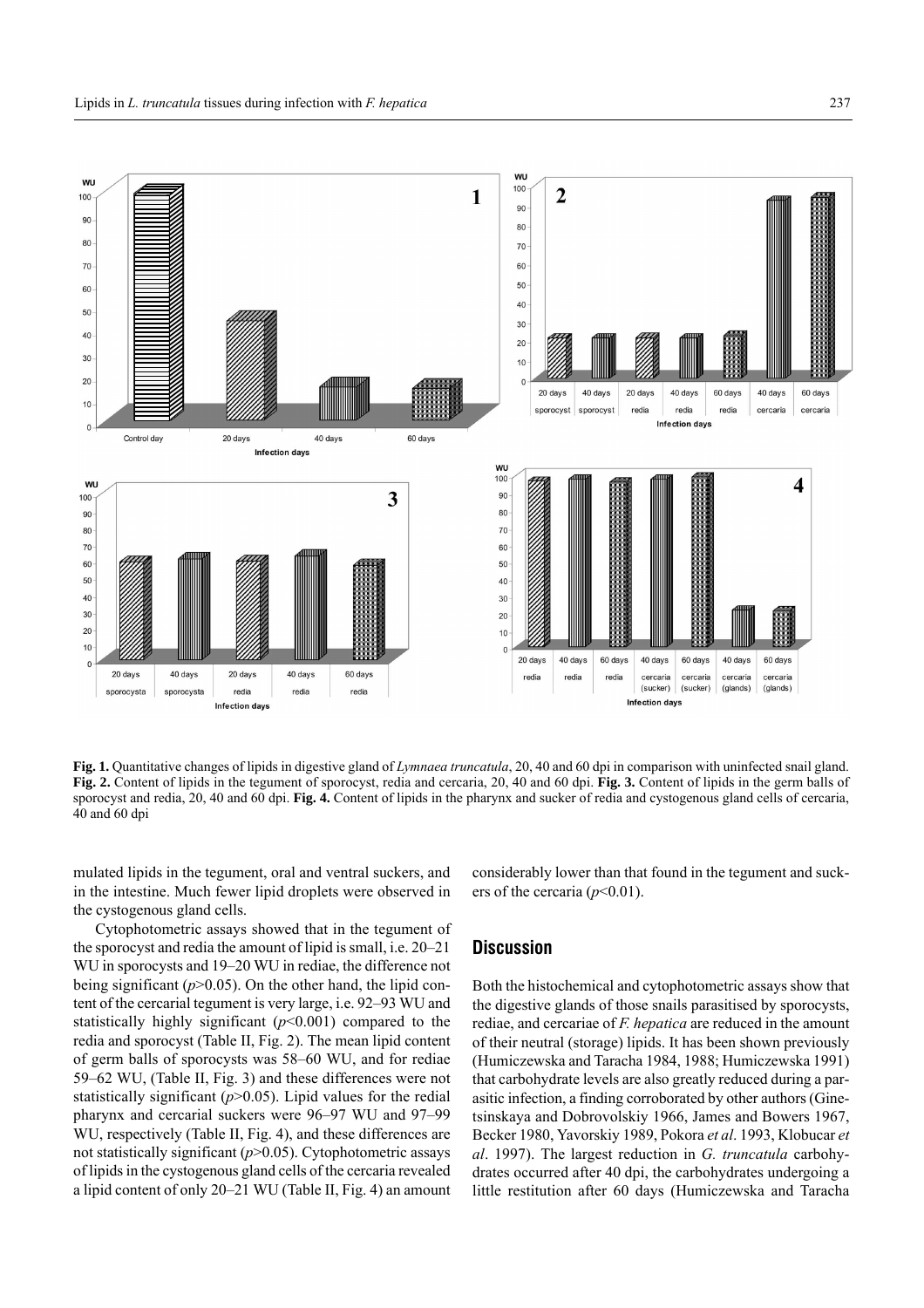

**Fig. 1.** Quantitative changes of lipids in digestive gland of *Lymnaea truncatula*, 20, 40 and 60 dpi in comparison with uninfected snail gland. **Fig. 2.** Content of lipids in the tegument of sporocyst, redia and cercaria, 20, 40 and 60 dpi. **Fig. 3.** Content of lipids in the germ balls of sporocyst and redia, 20, 40 and 60 dpi. **Fig. 4.** Content of lipids in the pharynx and sucker of redia and cystogenous gland cells of cercaria, 40 and 60 dpi

mulated lipids in the tegument, oral and ventral suckers, and in the intestine. Much fewer lipid droplets were observed in the cystogenous gland cells.

Cytophotometric assays showed that in the tegument of the sporocyst and redia the amount of lipid is small, i.e.  $20-21$ WU in sporocysts and 19–20 WU in rediae, the difference not being significant (*p*>0.05). On the other hand, the lipid content of the cercarial tegument is very large, i.e. 92–93 WU and statistically highly significant (*p*<0.001) compared to the redia and sporocyst (Table II, Fig. 2). The mean lipid content of germ balls of sporocysts was 58–60 WU, and for rediae 59–62 WU, (Table II, Fig. 3) and these differences were not statistically significant  $(p>0.05)$ . Lipid values for the redial pharynx and cercarial suckers were 96–97 WU and 97–99 WU, respectively (Table II, Fig. 4), and these differences are not statistically significant (*p*>0.05). Cytophotometric assays of lipids in the cystogenous gland cells of the cercaria revealed a lipid content of only  $20-21$  WU (Table II, Fig. 4) an amount considerably lower than that found in the tegument and suckers of the cercaria  $(p<0.01)$ .

#### **Discussion**

Both the histochemical and cytophotometric assays show that the digestive glands of those snails parasitised by sporocysts, rediae, and cercariae of *F. hepatica* are reduced in the amount of their neutral (storage) lipids. It has been shown previously (Humiczewska and Taracha 1984, 1988; Humiczewska 1991) that carbohydrate levels are also greatly reduced during a parasitic infection, a finding corroborated by other authors (Ginetsinskaya and Dobrovolskiy 1966, James and Bowers 1967, Becker 1980, Yavorskiy 1989, Pokora *et al*. 1993, Klobucar *et al*. 1997). The largest reduction in *G. truncatula* carbohydrates occurred after 40 dpi, the carbohydrates undergoing a little restitution after 60 days (Humiczewska and Taracha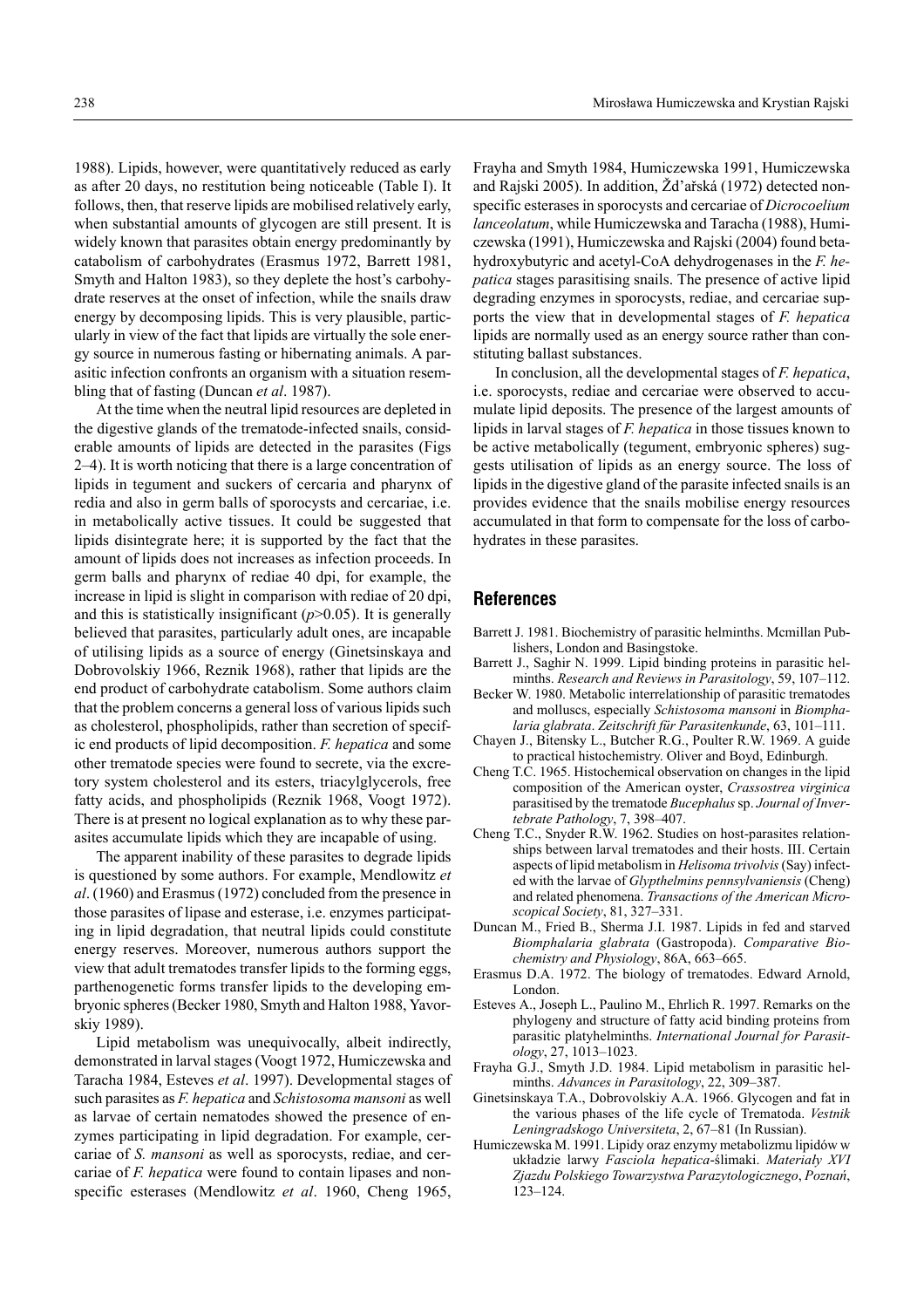1988). Lipids, however, were quantitatively reduced as early as after 20 days, no restitution being noticeable (Table I). It follows, then, that reserve lipids are mobilised relatively early, when substantial amounts of glycogen are still present. It is widely known that parasites obtain energy predominantly by catabolism of carbohydrates (Erasmus 1972, Barrett 1981, Smyth and Halton 1983), so they deplete the host's carbohydrate reserves at the onset of infection, while the snails draw energy by decomposing lipids. This is very plausible, particularly in view of the fact that lipids are virtually the sole energy source in numerous fasting or hibernating animals. A parasitic infection confronts an organism with a situation resembling that of fasting (Duncan *et al*. 1987).

At the time when the neutral lipid resources are depleted in the digestive glands of the trematode-infected snails, considerable amounts of lipids are detected in the parasites (Figs  $2-4$ ). It is worth noticing that there is a large concentration of lipids in tegument and suckers of cercaria and pharynx of redia and also in germ balls of sporocysts and cercariae, i.e. in metabolically active tissues. It could be suggested that lipids disintegrate here; it is supported by the fact that the amount of lipids does not increases as infection proceeds. In germ balls and pharynx of rediae 40 dpi, for example, the increase in lipid is slight in comparison with rediae of 20 dpi, and this is statistically insignificant  $(p>0.05)$ . It is generally believed that parasites, particularly adult ones, are incapable of utilising lipids as a source of energy (Ginetsinskaya and Dobrovolskiy 1966, Reznik 1968), rather that lipids are the end product of carbohydrate catabolism. Some authors claim that the problem concerns a general loss of various lipids such as cholesterol, phospholipids, rather than secretion of specific end products of lipid decomposition. *F. hepatica* and some other trematode species were found to secrete, via the excretory system cholesterol and its esters, triacylglycerols, free fatty acids, and phospholipids (Reznik 1968, Voogt 1972). There is at present no logical explanation as to why these parasites accumulate lipids which they are incapable of using.

The apparent inability of these parasites to degrade lipids is questioned by some authors. For example, Mendlowitz *et al*. (1960) and Erasmus (1972) concluded from the presence in those parasites of lipase and esterase, i.e. enzymes participating in lipid degradation, that neutral lipids could constitute energy reserves. Moreover, numerous authors support the view that adult trematodes transfer lipids to the forming eggs, parthenogenetic forms transfer lipids to the developing embryonic spheres (Becker 1980, Smyth and Halton 1988, Yavorskiy 1989).

Lipid metabolism was unequivocally, albeit indirectly, demonstrated in larval stages (Voogt 1972, Humiczewska and Taracha 1984, Esteves *et al*. 1997). Developmental stages of such parasites as *F. hepatica* and *Schistosoma mansoni* as well as larvae of certain nematodes showed the presence of enzymes participating in lipid degradation. For example, cercariae of *S. mansoni* as well as sporocysts, rediae, and cercariae of *F. hepatica* were found to contain lipases and nonspecific esterases (Mendlowitz *et al*. 1960, Cheng 1965, Frayha and Smyth 1984, Humiczewska 1991, Humiczewska and Rajski 2005). In addition, Žďařská (1972) detected nonspecific esterases in sporocysts and cercariae of *Dicrocoelium lanceolatum*, while Humiczewska and Taracha (1988), Humiczewska (1991), Humiczewska and Rajski (2004) found betahydroxybutyric and acetyl-CoA dehydrogenases in the *F. hepatica* stages parasitising snails. The presence of active lipid degrading enzymes in sporocysts, rediae, and cercariae supports the view that in developmental stages of *F. hepatica* lipids are normally used as an energy source rather than constituting ballast substances.

In conclusion, all the developmental stages of *F. hepatica*, i.e. sporocysts, rediae and cercariae were observed to accumulate lipid deposits. The presence of the largest amounts of lipids in larval stages of *F. hepatica* in those tissues known to be active metabolically (tegument, embryonic spheres) suggests utilisation of lipids as an energy source. The loss of lipids in the digestive gland of the parasite infected snails is an provides evidence that the snails mobilise energy resources accumulated in that form to compensate for the loss of carbohydrates in these parasites.

# **References**

- Barrett J. 1981. Biochemistry of parasitic helminths. Mcmillan Publishers, London and Basingstoke.
- Barrett J., Saghir N. 1999. Lipid binding proteins in parasitic helminths. *Research and Reviews in Parasitology*, 59, 107-112.
- Becker W. 1980. Metabolic interrelationship of parasitic trematodes and molluscs, especially *Schistosoma mansoni* in *Biomphalaria glabrata. Zeitschrift für Parasitenkunde*, 63, 101-111.
- Chayen J., Bitensky L., Butcher R.G., Poulter R.W. 1969. A guide to practical histochemistry. Oliver and Boyd, Edinburgh.
- Cheng T.C. 1965. Histochemical observation on changes in the lipid composition of the American oyster, *Crassostrea virginica* parasitised by the trematode *Bucephalus*sp. *Journal of Invertebrate Pathology*, 7, 398-407.
- Cheng T.C., Snyder R.W. 1962. Studies on host-parasites relationships between larval trematodes and their hosts. III. Certain aspects of lipid metabolism in *Helisoma trivolvis*(Say) infected with the larvae of *Glypthelmins pennsylvaniensis* (Cheng) and related phenomena. *Transactions of the American Microscopical Society, 81, 327–331.*
- Duncan M., Fried B., Sherma J.I. 1987. Lipids in fed and starved *Biomphalaria glabrata* (Gastropoda). *Comparative Biochemistry and Physiology*, 86A, 663-665.
- Erasmus D.A. 1972. The biology of trematodes. Edward Arnold, London.
- Esteves A., Joseph L., Paulino M., Ehrlich R. 1997. Remarks on the phylogeny and structure of fatty acid binding proteins from parasitic platyhelminths. *International Journal for Parasit* $ology, 27, 1013–1023.$
- Frayha G.J., Smyth J.D. 1984. Lipid metabolism in parasitic helminths. *Advances in Parasitology*, 22, 309-387.
- Ginetsinskaya T.A., Dobrovolskiy A.A. 1966. Glycogen and fat in the various phases of the life cycle of Trematoda. *Vestnik* Leningradskogo Universiteta, 2, 67-81 (In Russian).
- Humiczewska M. 1991. Lipidy oraz enzymy metabolizmu lipidów w układzie larwy *Fasciola hepatica*-ślimaki. *Materiały XVI Zjazdu Polskiego Towarzystwa Parazytologicznego*, *Poznań*,  $123 - 124$ .